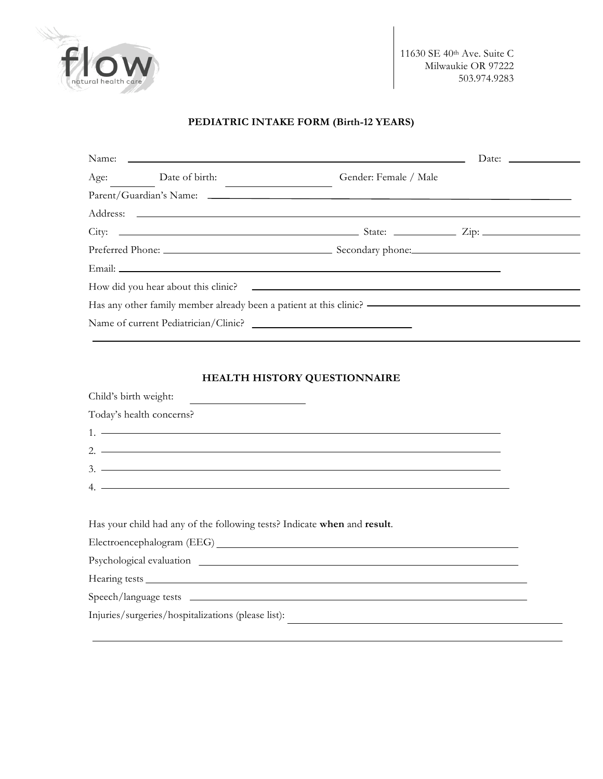

11630 SE 40th Ave. Suite C Milwaukie OR 97222 503.974.9283

# **PEDIATRIC INTAKE FORM (Birth-12 YEARS)**

| Name: Later and the contract of the contract of the contract of the contract of the contract of the contract of the contract of the contract of the contract of the contract of the contract of the contract of the contract o |                     |                                                                                         | Date: $\qquad \qquad$ |
|--------------------------------------------------------------------------------------------------------------------------------------------------------------------------------------------------------------------------------|---------------------|-----------------------------------------------------------------------------------------|-----------------------|
|                                                                                                                                                                                                                                | Age: Date of birth: | Gender: Female / Male                                                                   |                       |
|                                                                                                                                                                                                                                |                     |                                                                                         |                       |
|                                                                                                                                                                                                                                |                     |                                                                                         |                       |
|                                                                                                                                                                                                                                |                     |                                                                                         |                       |
|                                                                                                                                                                                                                                |                     |                                                                                         |                       |
|                                                                                                                                                                                                                                |                     |                                                                                         |                       |
|                                                                                                                                                                                                                                |                     | How did you hear about this clinic?                                                     |                       |
|                                                                                                                                                                                                                                |                     | Has any other family member already been a patient at this clinic? ———————————————————— |                       |
|                                                                                                                                                                                                                                |                     |                                                                                         |                       |

# **HEALTH HISTORY QUESTIONNAIRE**

| Child's birth weight:                                                                                                                                                                                                                                                                                                                                                          |
|--------------------------------------------------------------------------------------------------------------------------------------------------------------------------------------------------------------------------------------------------------------------------------------------------------------------------------------------------------------------------------|
| Today's health concerns?                                                                                                                                                                                                                                                                                                                                                       |
|                                                                                                                                                                                                                                                                                                                                                                                |
|                                                                                                                                                                                                                                                                                                                                                                                |
| $3.$ $\overline{\phantom{a}}$                                                                                                                                                                                                                                                                                                                                                  |
| 4. $\overline{a}$ $\overline{b}$ $\overline{a}$ $\overline{b}$ $\overline{a}$ $\overline{b}$ $\overline{a}$ $\overline{b}$ $\overline{a}$ $\overline{b}$ $\overline{a}$ $\overline{b}$ $\overline{a}$ $\overline{b}$ $\overline{a}$ $\overline{b}$ $\overline{a}$ $\overline{b}$ $\overline{a}$ $\overline{b}$ $\overline{b}$ $\overline{a}$ $\overline{b}$ $\overline{a}$ $\$ |
|                                                                                                                                                                                                                                                                                                                                                                                |
| Has your child had any of the following tests? Indicate when and result.                                                                                                                                                                                                                                                                                                       |
|                                                                                                                                                                                                                                                                                                                                                                                |
|                                                                                                                                                                                                                                                                                                                                                                                |
|                                                                                                                                                                                                                                                                                                                                                                                |
|                                                                                                                                                                                                                                                                                                                                                                                |

Injuries/surgeries/hospitalizations (please list):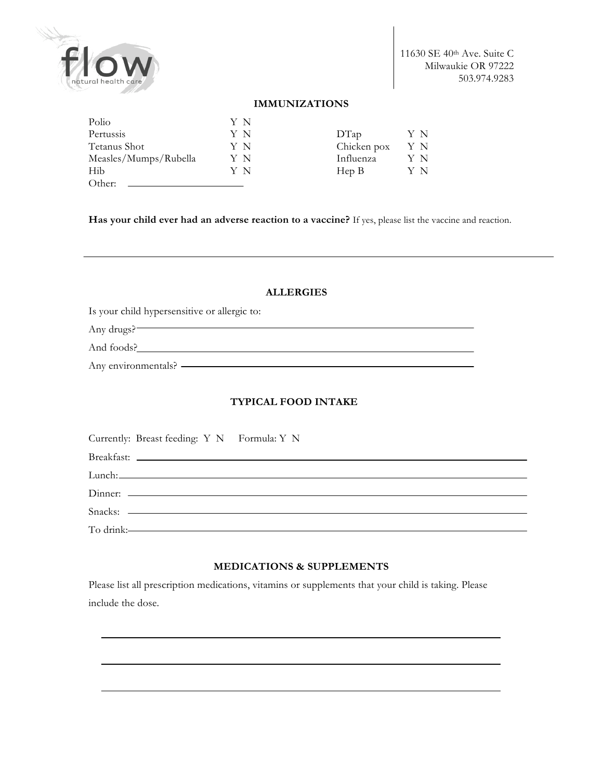

11630 SE 40th Ave. Suite C Milwaukie OR 97222 503.974.9283

#### **IMMUNIZATIONS**

| Polio                 | ΥN |             |     |
|-----------------------|----|-------------|-----|
| Pertussis             | ΥN | DTap        | Y N |
| Tetanus Shot          | ΥN | Chicken pox | ΥN  |
| Measles/Mumps/Rubella | ΥN | Influenza   | Y N |
| Hib                   | ΥN | Hep B       | ΥN  |
| Other:                |    |             |     |

**Has your child ever had an adverse reaction to a vaccine?** If yes, please list the vaccine and reaction.

#### **ALLERGIES**

<u> 1980 - Johann Barn, mars an t-Amerikaansk politiker (</u>

Is your child hypersensitive or allergic to:

Any drugs?

And foods?

Any environmentals?

### **TYPICAL FOOD INTAKE**

| Currently: Breast feeding: Y N Formula: Y N |           |
|---------------------------------------------|-----------|
|                                             |           |
|                                             |           |
|                                             |           |
|                                             | Snacks:   |
|                                             | To drink: |

#### **MEDICATIONS & SUPPLEMENTS**

Please list all prescription medications, vitamins or supplements that your child is taking. Please include the dose.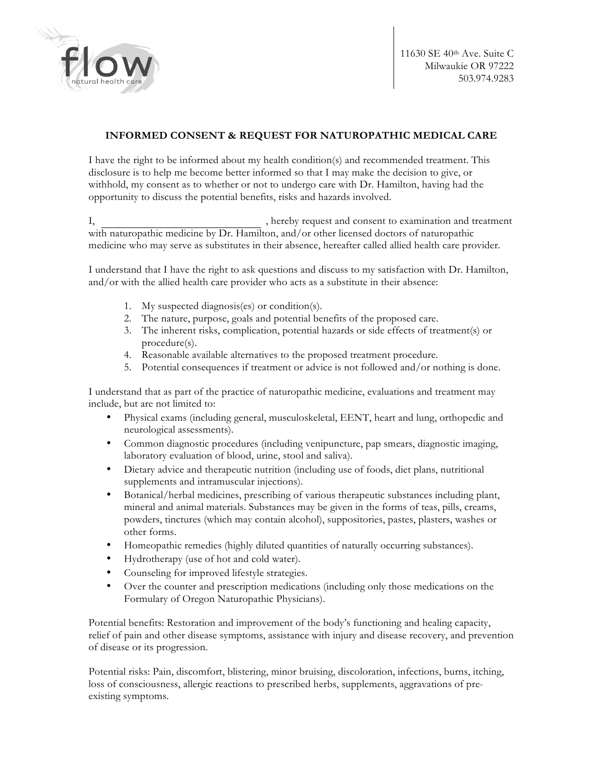

# **INFORMED CONSENT & REQUEST FOR NATUROPATHIC MEDICAL CARE**

I have the right to be informed about my health condition(s) and recommended treatment. This disclosure is to help me become better informed so that I may make the decision to give, or withhold, my consent as to whether or not to undergo care with Dr. Hamilton, having had the opportunity to discuss the potential benefits, risks and hazards involved.

I, hereby request and consent to examination and treatment with naturopathic medicine by Dr. Hamilton, and/or other licensed doctors of naturopathic medicine who may serve as substitutes in their absence, hereafter called allied health care provider.

I understand that I have the right to ask questions and discuss to my satisfaction with Dr. Hamilton, and/or with the allied health care provider who acts as a substitute in their absence:

- 1. My suspected diagnosis(es) or condition(s).
- 2. The nature, purpose, goals and potential benefits of the proposed care.
- 3. The inherent risks, complication, potential hazards or side effects of treatment(s) or procedure(s).
- 4. Reasonable available alternatives to the proposed treatment procedure.
- 5. Potential consequences if treatment or advice is not followed and/or nothing is done.

I understand that as part of the practice of naturopathic medicine, evaluations and treatment may include, but are not limited to:

- Physical exams (including general, musculoskeletal, EENT, heart and lung, orthopedic and neurological assessments).
- Common diagnostic procedures (including venipuncture, pap smears, diagnostic imaging, laboratory evaluation of blood, urine, stool and saliva).
- Dietary advice and therapeutic nutrition (including use of foods, diet plans, nutritional supplements and intramuscular injections).
- Botanical/herbal medicines, prescribing of various therapeutic substances including plant, mineral and animal materials. Substances may be given in the forms of teas, pills, creams, powders, tinctures (which may contain alcohol), suppositories, pastes, plasters, washes or other forms.
- Homeopathic remedies (highly diluted quantities of naturally occurring substances).
- Hydrotherapy (use of hot and cold water).
- Counseling for improved lifestyle strategies.
- Over the counter and prescription medications (including only those medications on the Formulary of Oregon Naturopathic Physicians).

Potential benefits: Restoration and improvement of the body's functioning and healing capacity, relief of pain and other disease symptoms, assistance with injury and disease recovery, and prevention of disease or its progression.

Potential risks: Pain, discomfort, blistering, minor bruising, discoloration, infections, burns, itching, loss of consciousness, allergic reactions to prescribed herbs, supplements, aggravations of preexisting symptoms.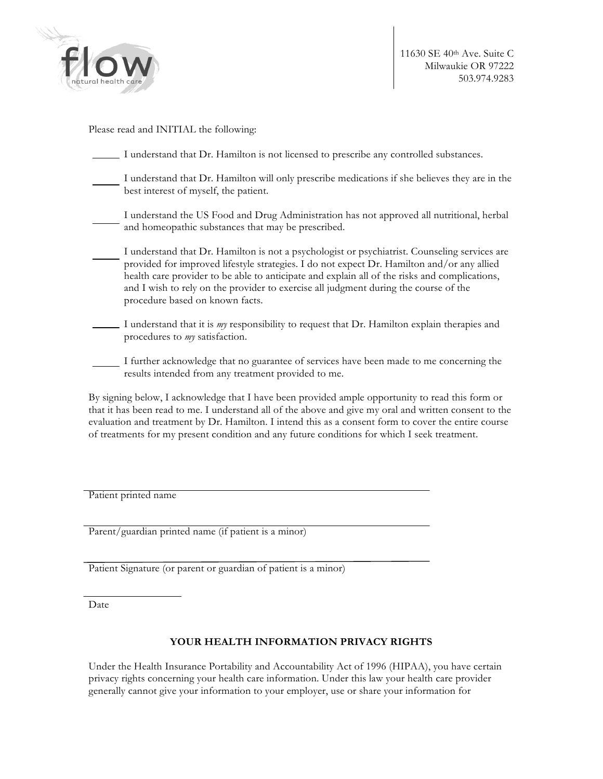

Please read and INITIAL the following:

| I understand that Dr. Hamilton is not licensed to prescribe any controlled substances.                                                                                                                                                                                                                                                                                                                                  |
|-------------------------------------------------------------------------------------------------------------------------------------------------------------------------------------------------------------------------------------------------------------------------------------------------------------------------------------------------------------------------------------------------------------------------|
| I understand that Dr. Hamilton will only prescribe medications if she believes they are in the<br>best interest of myself, the patient.                                                                                                                                                                                                                                                                                 |
| I understand the US Food and Drug Administration has not approved all nutritional, herbal<br>and homeopathic substances that may be prescribed.                                                                                                                                                                                                                                                                         |
| I understand that Dr. Hamilton is not a psychologist or psychiatrist. Counseling services are<br>provided for improved lifestyle strategies. I do not expect Dr. Hamilton and/or any allied<br>health care provider to be able to anticipate and explain all of the risks and complications,<br>and I wish to rely on the provider to exercise all judgment during the course of the<br>procedure based on known facts. |
| I understand that it is <i>my</i> responsibility to request that Dr. Hamilton explain therapies and<br>procedures to my satisfaction.                                                                                                                                                                                                                                                                                   |
| I further acknowledge that no guarantee of services have been made to me concerning the<br>results intended from any treatment provided to me.                                                                                                                                                                                                                                                                          |
| By signing below, I acknowledge that I have been provided ample opportunity to read this form or<br>that it has been read to me. I understand all of the above and oive my oral and written consent to the                                                                                                                                                                                                              |

that it has been read to me. I understand all of the above and give my oral and written consent to the evaluation and treatment by Dr. Hamilton. I intend this as a consent form to cover the entire course of treatments for my present condition and any future conditions for which I seek treatment.

Patient printed name

Parent/guardian printed name (if patient is a minor)

Patient Signature (or parent or guardian of patient is a minor)

Date

#### **YOUR HEALTH INFORMATION PRIVACY RIGHTS**

Under the Health Insurance Portability and Accountability Act of 1996 (HIPAA), you have certain privacy rights concerning your health care information. Under this law your health care provider generally cannot give your information to your employer, use or share your information for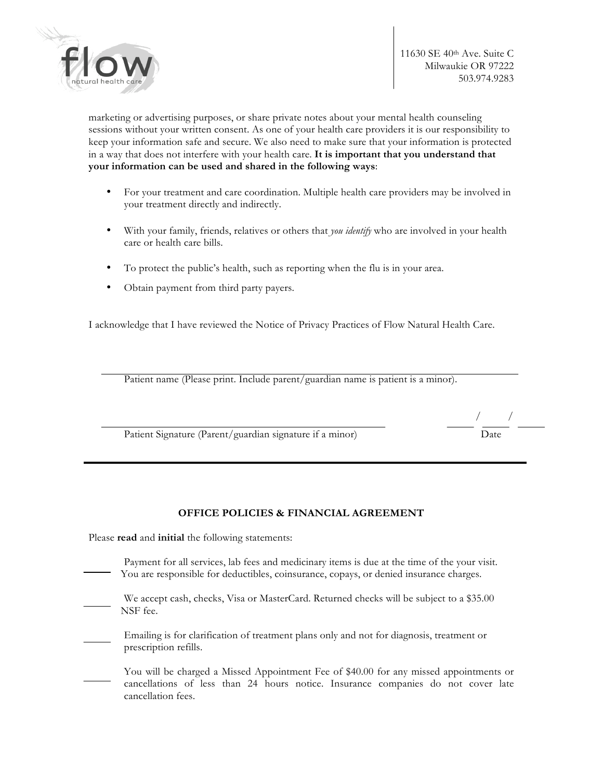

marketing or advertising purposes, or share private notes about your mental health counseling sessions without your written consent. As one of your health care providers it is our responsibility to keep your information safe and secure. We also need to make sure that your information is protected in a way that does not interfere with your health care. **It is important that you understand that your information can be used and shared in the following ways**:

- For your treatment and care coordination. Multiple health care providers may be involved in your treatment directly and indirectly.
- With your family, friends, relatives or others that *you identify* who are involved in your health care or health care bills.
- To protect the public's health, such as reporting when the flu is in your area.
- Obtain payment from third party payers.

I acknowledge that I have reviewed the Notice of Privacy Practices of Flow Natural Health Care.

Patient name (Please print. Include parent/guardian name is patient is a minor).

Patient Signature (Parent/guardian signature if a minor)

**OFFICE POLICIES & FINANCIAL AGREEMENT**

Please **read** and **initial** the following statements:

- Payment for all services, lab fees and medicinary items is due at the time of the your visit. You are responsible for deductibles, coinsurance, copays, or denied insurance charges.
- We accept cash, checks, Visa or MasterCard. Returned checks will be subject to a \$35.00 NSF fee.
- Emailing is for clarification of treatment plans only and not for diagnosis, treatment or prescription refills.
- You will be charged a Missed Appointment Fee of \$40.00 for any missed appointments or cancellations of less than 24 hours notice. Insurance companies do not cover late cancellation fees.

/ /